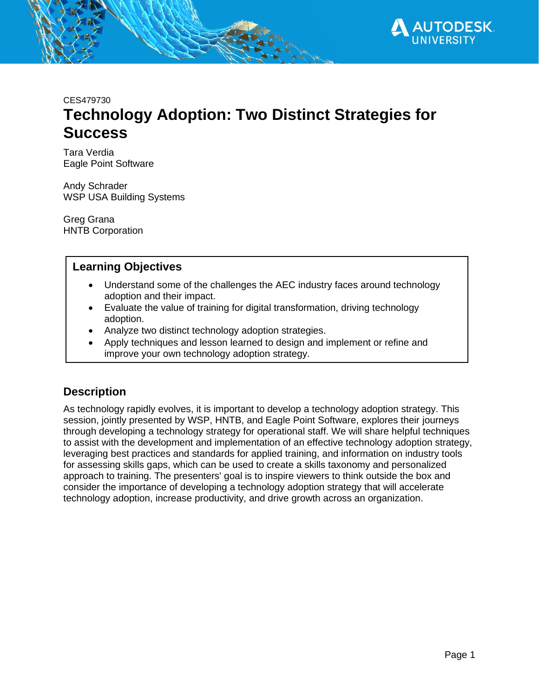

CES479730

# **Technology Adoption: Two Distinct Strategies for Success**

Tara Verdia Eagle Point Software

Andy Schrader WSP USA Building Systems

Greg Grana HNTB Corporation

### **Learning Objectives**

- Understand some of the challenges the AEC industry faces around technology adoption and their impact.
- Evaluate the value of training for digital transformation, driving technology adoption.
- Analyze two distinct technology adoption strategies.
- Apply techniques and lesson learned to design and implement or refine and improve your own technology adoption strategy.

## **Description**

As technology rapidly evolves, it is important to develop a technology adoption strategy. This session, jointly presented by WSP, HNTB, and Eagle Point Software, explores their journeys through developing a technology strategy for operational staff. We will share helpful techniques to assist with the development and implementation of an effective technology adoption strategy, leveraging best practices and standards for applied training, and information on industry tools for assessing skills gaps, which can be used to create a skills taxonomy and personalized approach to training. The presenters' goal is to inspire viewers to think outside the box and consider the importance of developing a technology adoption strategy that will accelerate technology adoption, increase productivity, and drive growth across an organization.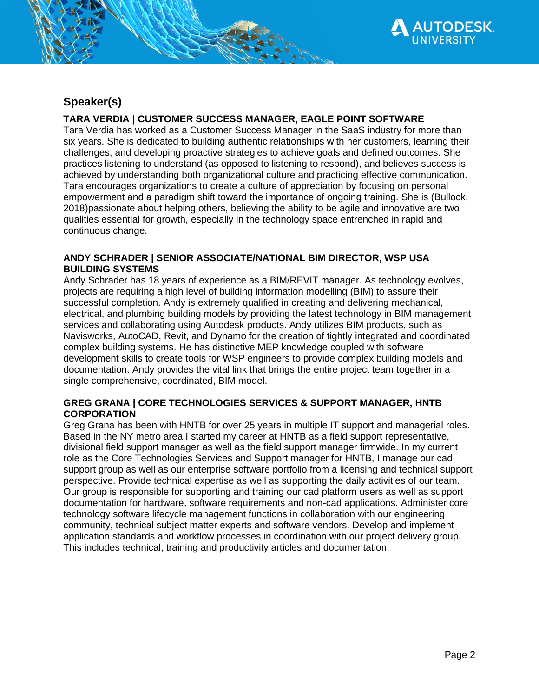

# **Speaker(s)**

#### **TARA VERDIA | CUSTOMER SUCCESS MANAGER, EAGLE POINT SOFTWARE**

Tara Verdia has worked as a Customer Success Manager in the SaaS industry for more than six years. She is dedicated to building authentic relationships with her customers, learning their challenges, and developing proactive strategies to achieve goals and defined outcomes. She practices listening to understand (as opposed to listening to respond), and believes success is achieved by understanding both organizational culture and practicing effective communication. Tara encourages organizations to create a culture of appreciation by focusing on personal empowerment and a paradigm shift toward the importance of ongoing training. She is (Bullock, 2018)passionate about helping others, believing the ability to be agile and innovative are two qualities essential for growth, especially in the technology space entrenched in rapid and continuous change.

#### **ANDY SCHRADER | SENIOR ASSOCIATE/NATIONAL BIM DIRECTOR, WSP USA BUILDING SYSTEMS**

Andy Schrader has 18 years of experience as a BIM/REVIT manager. As technology evolves, projects are requiring a high level of building information modelling (BIM) to assure their successful completion. Andy is extremely qualified in creating and delivering mechanical, electrical, and plumbing building models by providing the latest technology in BIM management services and collaborating using Autodesk products. Andy utilizes BIM products, such as Navisworks, AutoCAD, Revit, and Dynamo for the creation of tightly integrated and coordinated complex building systems. He has distinctive MEP knowledge coupled with software development skills to create tools for WSP engineers to provide complex building models and documentation. Andy provides the vital link that brings the entire project team together in a single comprehensive, coordinated, BIM model.

#### **GREG GRANA | CORE TECHNOLOGIES SERVICES & SUPPORT MANAGER, HNTB CORPORATION**

Greg Grana has been with HNTB for over 25 years in multiple IT support and managerial roles. Based in the NY metro area I started my career at HNTB as a field support representative, divisional field support manager as well as the field support manager firmwide. In my current role as the Core Technologies Services and Support manager for HNTB, I manage our cad support group as well as our enterprise software portfolio from a licensing and technical support perspective. Provide technical expertise as well as supporting the daily activities of our team. Our group is responsible for supporting and training our cad platform users as well as support documentation for hardware, software requirements and non-cad applications. Administer core technology software lifecycle management functions in collaboration with our engineering community, technical subject matter experts and software vendors. Develop and implement application standards and workflow processes in coordination with our project delivery group. This includes technical, training and productivity articles and documentation.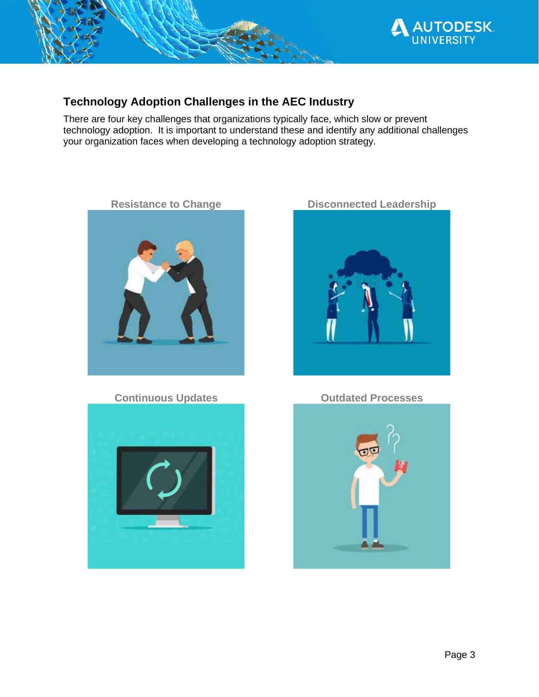

# **Technology Adoption Challenges in the AEC Industry**

There are four key challenges that organizations typically face, which slow or prevent technology adoption. It is important to understand these and identify any additional challenges your organization faces when developing a technology adoption strategy.





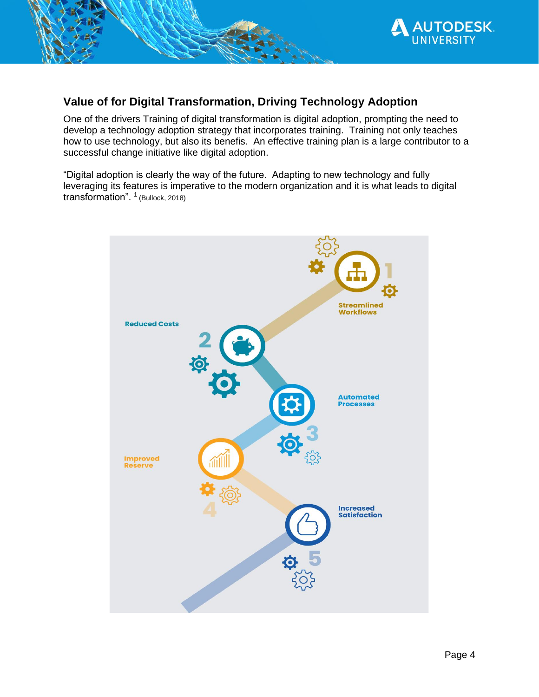

# **Value of for Digital Transformation, Driving Technology Adoption**

One of the drivers Training of digital transformation is digital adoption, prompting the need to develop a technology adoption strategy that incorporates training. Training not only teaches how to use technology, but also its benefis. An effective training plan is a large contributor to a successful change initiative like digital adoption.

"Digital adoption is clearly the way of the future. Adapting to new technology and fully leveraging its features is imperative to the modern organization and it is what leads to digital transformation". <sup>1</sup> (Bullock, 2018)

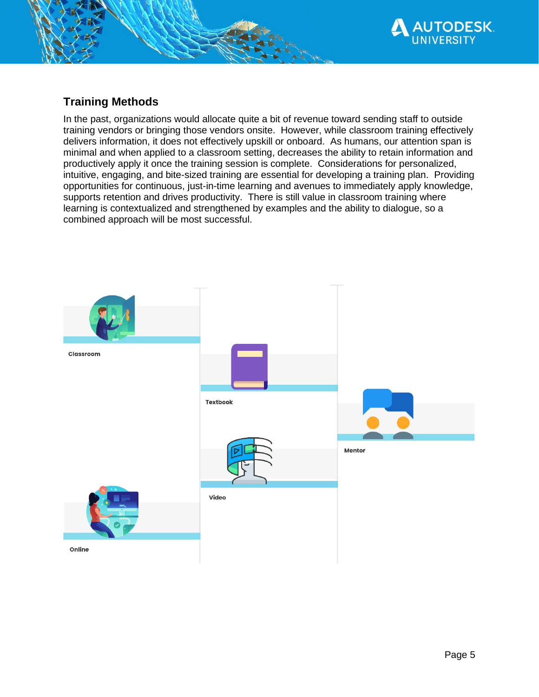

# **Training Methods**

In the past, organizations would allocate quite a bit of revenue toward sending staff to outside training vendors or bringing those vendors onsite. However, while classroom training effectively delivers information, it does not effectively upskill or onboard. As humans, our attention span is minimal and when applied to a classroom setting, decreases the ability to retain information and productively apply it once the training session is complete. Considerations for personalized, intuitive, engaging, and bite-sized training are essential for developing a training plan. Providing opportunities for continuous, just-in-time learning and avenues to immediately apply knowledge, supports retention and drives productivity. There is still value in classroom training where learning is contextualized and strengthened by examples and the ability to dialogue, so a combined approach will be most successful.

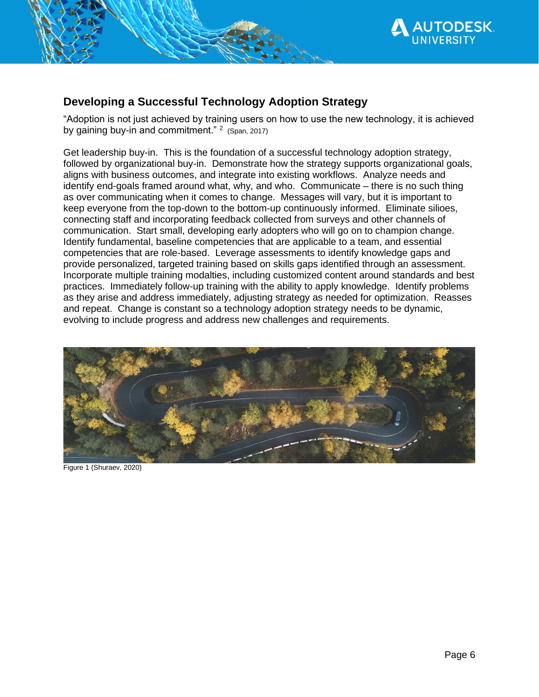

# **Developing a Successful Technology Adoption Strategy**

"Adoption is not just achieved by training users on how to use the new technology, it is achieved by gaining buy-in and commitment."  $2$  (Span, 2017)

Get leadership buy-in. This is the foundation of a successful technology adoption strategy, followed by organizational buy-in. Demonstrate how the strategy supports organizational goals, aligns with business outcomes, and integrate into existing workflows. Analyze needs and identify end-goals framed around what, why, and who. Communicate – there is no such thing as over communicating when it comes to change. Messages will vary, but it is important to keep everyone from the top-down to the bottom-up continuously informed. Eliminate silioes, connecting staff and incorporating feedback collected from surveys and other channels of communication. Start small, developing early adopters who will go on to champion change. Identify fundamental, baseline competencies that are applicable to a team, and essential competencies that are role-based. Leverage assessments to identify knowledge gaps and provide personalized, targeted training based on skills gaps identified through an assessment. Incorporate multiple training modalties, including customized content around standards and best practices. Immediately follow-up training with the ability to apply knowledge. Identify problems as they arise and address immediately, adjusting strategy as needed for optimization. Reasses and repeat. Change is constant so a technology adoption strategy needs to be dynamic, evolving to include progress and address new challenges and requirements.



Figure 1 (Shuraev, 2020)